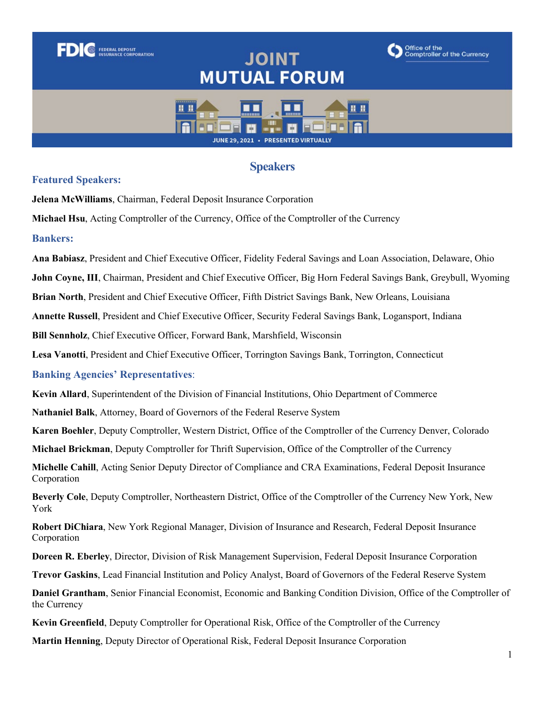# **JOINT MUTUAL FORUM**





## **Speakers**

#### **Featured Speakers:**

**FEDERAL DEPOSIT<br>INSURANCE CORPORATION** 

**Jelena McWilliams**, Chairman, Federal Deposit Insurance Corporation

**Michael Hsu**, Acting Comptroller of the Currency, Office of the Comptroller of the Currency

#### **Bankers:**

**Bankers: Ana Babiasz**, President and Chief Executive Officer, Fidelity Federal Savings and Loan Association, Delaware, Ohio

**John Coyne, III**, Chairman, President and Chief Executive Officer, Big Horn Federal Savings Bank, Greybull, Wyoming

**Brian North**, President and Chief Executive Officer, Fifth District Savings Bank, New Orleans, Louisiana

**Annette Russell**, President and Chief Executive Officer, Security Federal Savings Bank, Logansport, Indiana

**Bill Sennholz**, Chief Executive Officer, Forward Bank, Marshfield, Wisconsin

**Lesa Vanotti**, President and Chief Executive Officer, Torrington Savings Bank, Torrington, Connecticut

### **Banking Agencies' Representatives**:

**Kevin Allard**, Superintendent of the Division of Financial Institutions, Ohio Department of Commerce

**Nathaniel Balk**, Attorney, Board of Governors of the Federal Reserve System

**Karen Boehler**, Deputy Comptroller, Western District, Office of the Comptroller of the Currency Denver, Colorado

**Michael Brickman**, Deputy Comptroller for Thrift Supervision, Office of the Comptroller of the Currency

**Michelle Cahill**, Acting Senior Deputy Director of Compliance and CRA Examinations, Federal Deposit Insurance Corporation

**Beverly Cole**, Deputy Comptroller, Northeastern District, Office of the Comptroller of the Currency New York, New York

**Robert DiChiara**, New York Regional Manager, Division of Insurance and Research, Federal Deposit Insurance Corporation

**Doreen R. Eberley**, Director, Division of Risk Management Supervision, Federal Deposit Insurance Corporation

**Trevor Gaskins**, Lead Financial Institution and Policy Analyst, Board of Governors of the Federal Reserve System

**Daniel Grantham**, Senior Financial Economist, Economic and Banking Condition Division, Office of the Comptroller of the Currency

**Kevin Greenfield**, Deputy Comptroller for Operational Risk, Office of the Comptroller of the Currency

**Martin Henning**, Deputy Director of Operational Risk, Federal Deposit Insurance Corporation